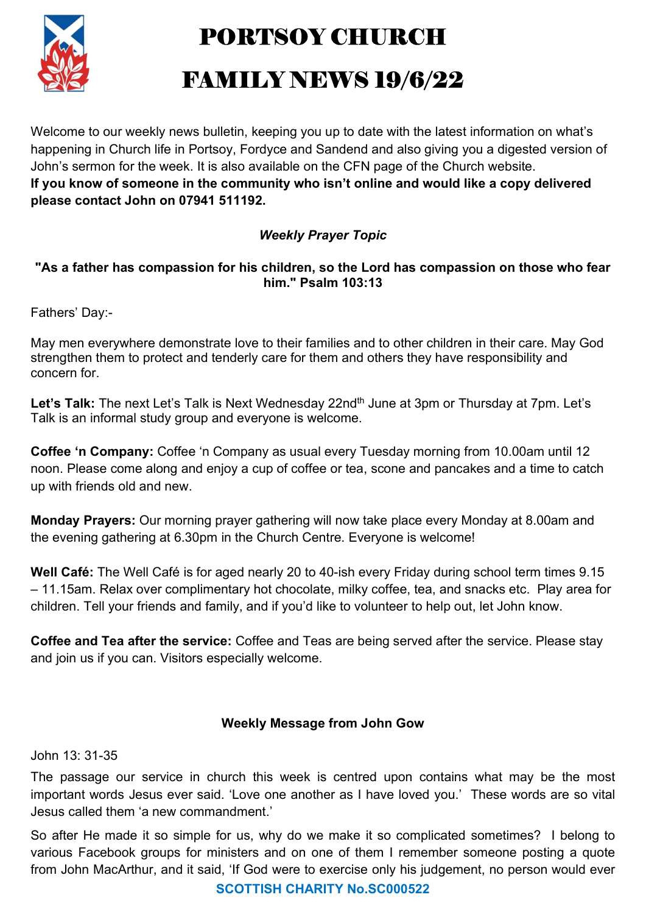

PORTSOY CHURCH

## FAMILY NEWS 19/6/22

Welcome to our weekly news bulletin, keeping you up to date with the latest information on what's happening in Church life in Portsoy, Fordyce and Sandend and also giving you a digested version of John's sermon for the week. It is also available on the CFN page of the Church website. If you know of someone in the community who isn't online and would like a copy delivered please contact John on 07941 511192.

## Weekly Prayer Topic

## "As a father has compassion for his children, so the Lord has compassion on those who fear him." Psalm 103:13

Fathers' Day:-

May men everywhere demonstrate love to their families and to other children in their care. May God strengthen them to protect and tenderly care for them and others they have responsibility and concern for.

Let's Talk: The next Let's Talk is Next Wednesday 22nd<sup>th</sup> June at 3pm or Thursday at 7pm. Let's Talk is an informal study group and everyone is welcome.

Coffee 'n Company: Coffee 'n Company as usual every Tuesday morning from 10.00am until 12 noon. Please come along and enjoy a cup of coffee or tea, scone and pancakes and a time to catch up with friends old and new.

Monday Prayers: Our morning prayer gathering will now take place every Monday at 8.00am and the evening gathering at 6.30pm in the Church Centre. Everyone is welcome!

Well Café: The Well Café is for aged nearly 20 to 40-ish every Friday during school term times 9.15 – 11.15am. Relax over complimentary hot chocolate, milky coffee, tea, and snacks etc. Play area for children. Tell your friends and family, and if you'd like to volunteer to help out, let John know.

Coffee and Tea after the service: Coffee and Teas are being served after the service. Please stay and join us if you can. Visitors especially welcome.

## Weekly Message from John Gow

John 13: 31-35

The passage our service in church this week is centred upon contains what may be the most important words Jesus ever said. 'Love one another as I have loved you.' These words are so vital Jesus called them 'a new commandment.'

So after He made it so simple for us, why do we make it so complicated sometimes? I belong to various Facebook groups for ministers and on one of them I remember someone posting a quote from John MacArthur, and it said, 'If God were to exercise only his judgement, no person would ever

SCOTTISH CHARITY No.SC000522